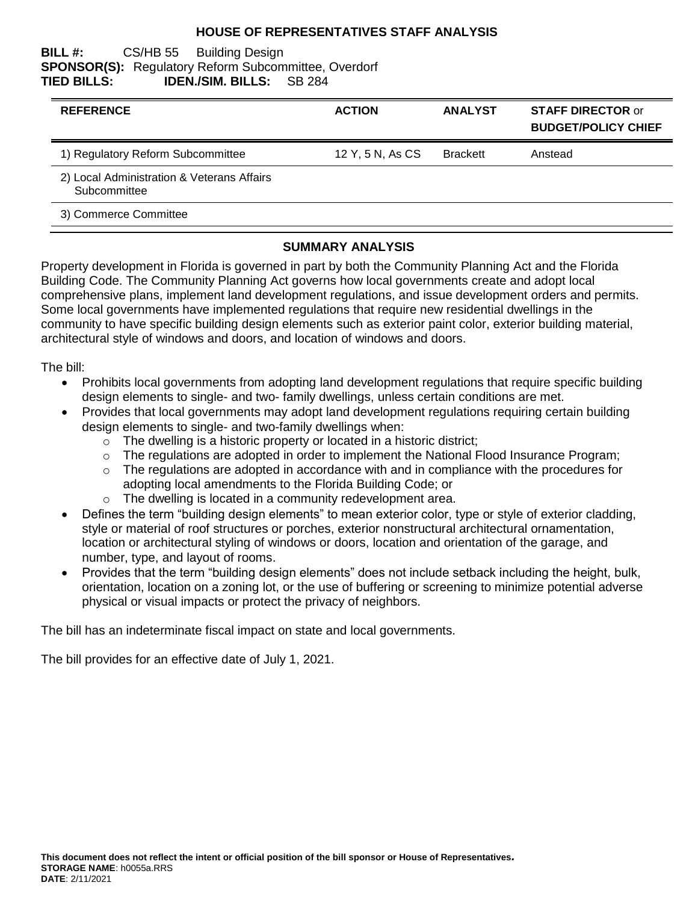### **HOUSE OF REPRESENTATIVES STAFF ANALYSIS**

### **BILL #:** CS/HB 55 Building Design **SPONSOR(S):** Regulatory Reform Subcommittee, Overdorf **TIED BILLS: IDEN./SIM. BILLS:** SB 284

| <b>REFERENCE</b>                                           | <b>ACTION</b>    | <b>ANALYST</b>  | <b>STAFF DIRECTOR or</b><br><b>BUDGET/POLICY CHIEF</b> |
|------------------------------------------------------------|------------------|-----------------|--------------------------------------------------------|
| 1) Regulatory Reform Subcommittee                          | 12 Y, 5 N, As CS | <b>Brackett</b> | Anstead                                                |
| 2) Local Administration & Veterans Affairs<br>Subcommittee |                  |                 |                                                        |
| 3) Commerce Committee                                      |                  |                 |                                                        |

### **SUMMARY ANALYSIS**

Property development in Florida is governed in part by both the Community Planning Act and the Florida Building Code. The Community Planning Act governs how local governments create and adopt local comprehensive plans, implement land development regulations, and issue development orders and permits. Some local governments have implemented regulations that require new residential dwellings in the community to have specific building design elements such as exterior paint color, exterior building material, architectural style of windows and doors, and location of windows and doors.

The bill:

- Prohibits local governments from adopting land development regulations that require specific building design elements to single- and two- family dwellings, unless certain conditions are met.
- Provides that local governments may adopt land development regulations requiring certain building design elements to single- and two-family dwellings when:
	- $\circ$  The dwelling is a historic property or located in a historic district;
	- $\circ$  The regulations are adopted in order to implement the National Flood Insurance Program;
	- o The regulations are adopted in accordance with and in compliance with the procedures for adopting local amendments to the Florida Building Code; or
	- o The dwelling is located in a community redevelopment area.
- Defines the term "building design elements" to mean exterior color, type or style of exterior cladding, style or material of roof structures or porches, exterior nonstructural architectural ornamentation, location or architectural styling of windows or doors, location and orientation of the garage, and number, type, and layout of rooms.
- Provides that the term "building design elements" does not include setback including the height, bulk, orientation, location on a zoning lot, or the use of buffering or screening to minimize potential adverse physical or visual impacts or protect the privacy of neighbors.

The bill has an indeterminate fiscal impact on state and local governments.

The bill provides for an effective date of July 1, 2021.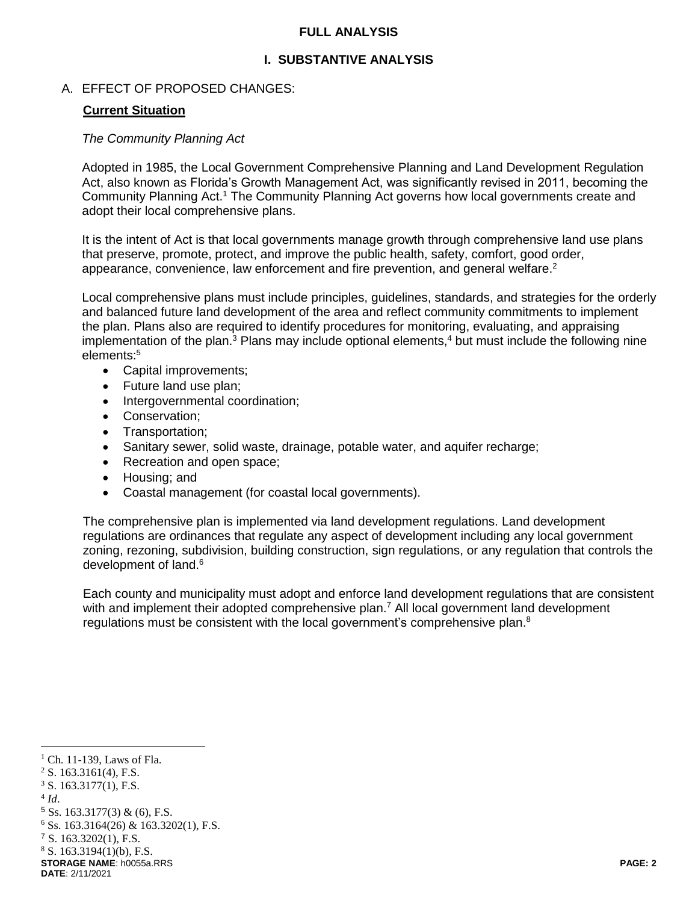### **FULL ANALYSIS**

### **I. SUBSTANTIVE ANALYSIS**

### A. EFFECT OF PROPOSED CHANGES:

### **Current Situation**

#### *The Community Planning Act*

Adopted in 1985, the Local Government Comprehensive Planning and Land Development Regulation Act, also known as Florida's Growth Management Act, was significantly revised in 2011, becoming the Community Planning Act.<sup>1</sup> The Community Planning Act governs how local governments create and adopt their local comprehensive plans.

It is the intent of Act is that local governments manage growth through comprehensive land use plans that preserve, promote, protect, and improve the public health, safety, comfort, good order, appearance, convenience, law enforcement and fire prevention, and general welfare. $2$ 

Local comprehensive plans must include principles, guidelines, standards, and strategies for the orderly and balanced future land development of the area and reflect community commitments to implement the plan. Plans also are required to identify procedures for monitoring, evaluating, and appraising implementation of the plan.<sup>3</sup> Plans may include optional elements,<sup>4</sup> but must include the following nine elements:<sup>5</sup>

- Capital improvements;
- Future land use plan;
- Intergovernmental coordination;
- Conservation:
- Transportation;
- Sanitary sewer, solid waste, drainage, potable water, and aquifer recharge;
- Recreation and open space;
- Housing; and
- Coastal management (for coastal local governments).

The comprehensive plan is implemented via land development regulations. Land development regulations are ordinances that regulate any aspect of development including any local government zoning, rezoning, subdivision, building construction, sign regulations, or any regulation that controls the development of land.<sup>6</sup>

Each county and municipality must adopt and enforce land development regulations that are consistent with and implement their adopted comprehensive plan.<sup>7</sup> All local government land development regulations must be consistent with the local government's comprehensive plan.<sup>8</sup>

 $3$  S. 163.3177(1), F.S.

 $\overline{a}$ 

 $<sup>1</sup>$  Ch. 11-139, Laws of Fla.</sup>

 $2$  S. 163.3161(4), F.S.

<sup>4</sup> *Id*.

 $5$  Ss. 163.3177(3) & (6), F.S.

 $6$  Ss. 163.3164(26) & 163.3202(1), F.S.

<sup>7</sup> S. 163.3202(1), F.S.

**STORAGE NAME**: h0055a.RRS **PAGE: 2**  $8$  S. 163.3194(1)(b), F.S.

**DATE**: 2/11/2021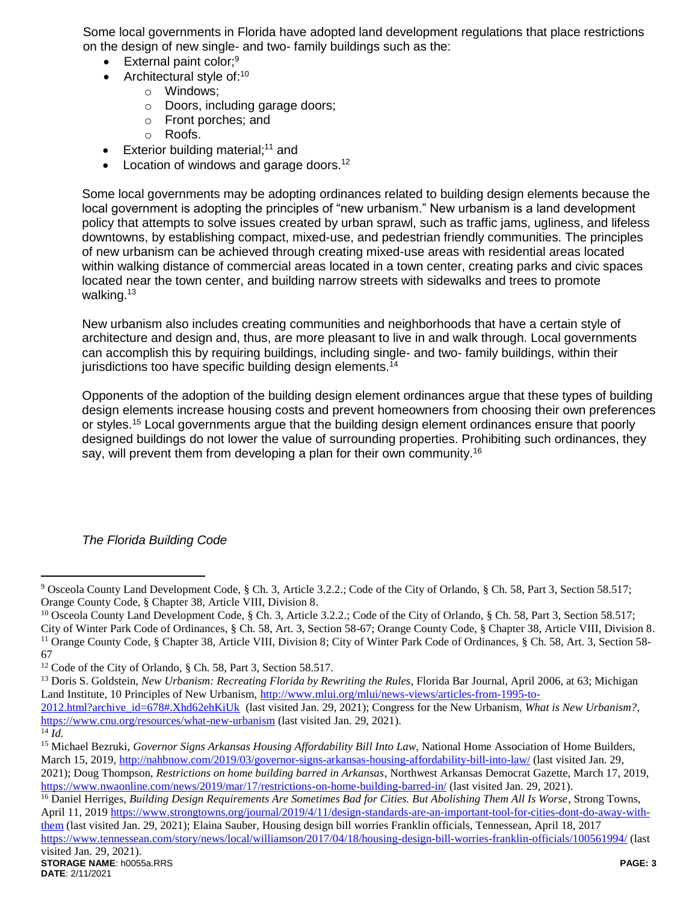Some local governments in Florida have adopted land development regulations that place restrictions on the design of new single- and two- family buildings such as the:

- $\bullet$  External paint color;<sup>9</sup>
- $\bullet$  Architectural style of:<sup>10</sup>
	- o Windows;
	- o Doors, including garage doors;
	- o Front porches; and
	- o Roofs.
- Exterior building material;<sup>11</sup> and
- Location of windows and garage doors.<sup>12</sup>

Some local governments may be adopting ordinances related to building design elements because the local government is adopting the principles of "new urbanism." New urbanism is a land development policy that attempts to solve issues created by urban sprawl, such as traffic jams, ugliness, and lifeless downtowns, by establishing compact, mixed-use, and pedestrian friendly communities. The principles of new urbanism can be achieved through creating mixed-use areas with residential areas located within walking distance of commercial areas located in a town center, creating parks and civic spaces located near the town center, and building narrow streets with sidewalks and trees to promote walking.<sup>13</sup>

New urbanism also includes creating communities and neighborhoods that have a certain style of architecture and design and, thus, are more pleasant to live in and walk through. Local governments can accomplish this by requiring buildings, including single- and two- family buildings, within their jurisdictions too have specific building design elements.<sup>14</sup>

Opponents of the adoption of the building design element ordinances argue that these types of building design elements increase housing costs and prevent homeowners from choosing their own preferences or styles.<sup>15</sup> Local governments argue that the building design element ordinances ensure that poorly designed buildings do not lower the value of surrounding properties. Prohibiting such ordinances, they say, will prevent them from developing a plan for their own community.<sup>16</sup>

# *The Florida Building Code*

<sup>13</sup> Doris S. Goldstein, *New Urbanism: Recreating Florida by Rewriting the Rules*, Florida Bar Journal, April 2006, at 63; Michigan Land Institute, 10 Principles of New Urbanism, [http://www.mlui.org/mlui/news-views/articles-from-1995-to-](http://www.mlui.org/mlui/news-views/articles-from-1995-to-2012.html?archive_id=678#.Xhd62ehKiUk)

 $\overline{a}$ 

<sup>9</sup> Osceola County Land Development Code, § Ch. 3, Article 3.2.2.; Code of the City of Orlando, § Ch. 58, Part 3, Section 58.517; Orange County Code, § Chapter 38, Article VIII, Division 8.

<sup>&</sup>lt;sup>10</sup> Osceola County Land Development Code, § Ch. 3, Article 3.2.2.; Code of the City of Orlando, § Ch. 58, Part 3, Section 58.517; City of Winter Park Code of Ordinances, § Ch. 58, Art. 3, Section 58-67; Orange County Code, § Chapter 38, Article VIII, Division 8. <sup>11</sup> Orange County Code, § Chapter 38, Article VIII, Division 8; City of Winter Park Code of Ordinances, § Ch. 58, Art. 3, Section 58-67

<sup>12</sup> Code of the City of Orlando, § Ch. 58, Part 3, Section 58.517.

[<sup>2012.</sup>html?archive\\_id=678#.Xhd62ehKiUk](http://www.mlui.org/mlui/news-views/articles-from-1995-to-2012.html?archive_id=678#.Xhd62ehKiUk) (last visited Jan. 29, 2021); Congress for the New Urbanism, *What is New Urbanism?*, <https://www.cnu.org/resources/what-new-urbanism> (last visited Jan. 29, 2021).

 $\overline{^{14}$  *Id.* 

<sup>15</sup> Michael Bezruki, *Governor Signs Arkansas Housing Affordability Bill Into Law*, National Home Association of Home Builders, March 15, 2019[, http://nahbnow.com/2019/03/governor-signs-arkansas-housing-affordability-bill-into-law/](http://nahbnow.com/2019/03/governor-signs-arkansas-housing-affordability-bill-into-law/) (last visited Jan. 29, 2021); Doug Thompson, *Restrictions on home building barred in Arkansas*, Northwest Arkansas Democrat Gazette, March 17, 2019, <https://www.nwaonline.com/news/2019/mar/17/restrictions-on-home-building-barred-in/> (last visited Jan. 29, 2021).

<sup>&</sup>lt;sup>16</sup> Daniel Herriges, *Building Design Requirements Are Sometimes Bad for Cities. But Abolishing Them All Is Worse, Strong Towns,* April 11, 2019 [https://www.strongtowns.org/journal/2019/4/11/design-standards-are-an-important-tool-for-cities-dont-do-away-with](https://www.strongtowns.org/journal/2019/4/11/design-standards-are-an-important-tool-for-cities-dont-do-away-with-them)[them](https://www.strongtowns.org/journal/2019/4/11/design-standards-are-an-important-tool-for-cities-dont-do-away-with-them) (last visited Jan. 29, 2021); Elaina Sauber, Housing design bill worries Franklin officials, Tennessean, April 18, 2017 <https://www.tennessean.com/story/news/local/williamson/2017/04/18/housing-design-bill-worries-franklin-officials/100561994/> (last visited Jan. 29, 2021).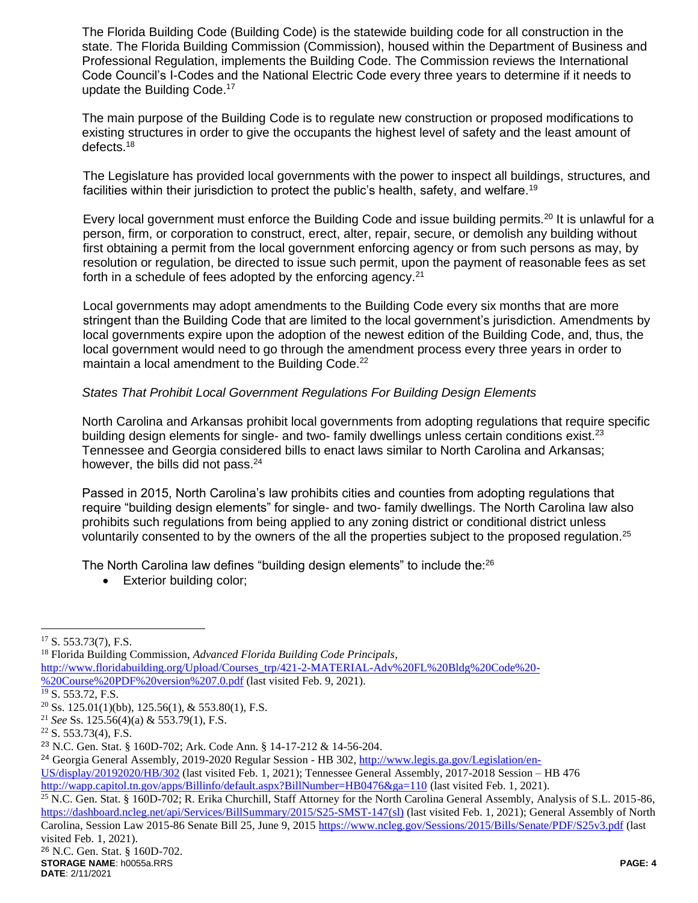The Florida Building Code (Building Code) is the statewide building code for all construction in the state. The Florida Building Commission (Commission), housed within the Department of Business and Professional Regulation, implements the Building Code. The Commission reviews the International Code Council's I-Codes and the National Electric Code every three years to determine if it needs to update the Building Code.<sup>17</sup>

The main purpose of the Building Code is to regulate new construction or proposed modifications to existing structures in order to give the occupants the highest level of safety and the least amount of defects.<sup>18</sup>

The Legislature has provided local governments with the power to inspect all buildings, structures, and facilities within their jurisdiction to protect the public's health, safety, and welfare.<sup>19</sup>

Every local government must enforce the Building Code and issue building permits.<sup>20</sup> It is unlawful for a person, firm, or corporation to construct, erect, alter, repair, secure, or demolish any building without first obtaining a permit from the local government enforcing agency or from such persons as may, by resolution or regulation, be directed to issue such permit, upon the payment of reasonable fees as set forth in a schedule of fees adopted by the enforcing agency.<sup>21</sup>

Local governments may adopt amendments to the Building Code every six months that are more stringent than the Building Code that are limited to the local government's jurisdiction. Amendments by local governments expire upon the adoption of the newest edition of the Building Code, and, thus, the local government would need to go through the amendment process every three years in order to maintain a local amendment to the Building Code.<sup>22</sup>

### *States That Prohibit Local Government Regulations For Building Design Elements*

North Carolina and Arkansas prohibit local governments from adopting regulations that require specific building design elements for single- and two- family dwellings unless certain conditions exist.<sup>23</sup> Tennessee and Georgia considered bills to enact laws similar to North Carolina and Arkansas; however, the bills did not pass.<sup>24</sup>

Passed in 2015, North Carolina's law prohibits cities and counties from adopting regulations that require "building design elements" for single- and two- family dwellings. The North Carolina law also prohibits such regulations from being applied to any zoning district or conditional district unless voluntarily consented to by the owners of the all the properties subject to the proposed regulation.<sup>25</sup>

The North Carolina law defines "building design elements" to include the:<sup>26</sup>

• Exterior building color;

 $\overline{a}$ 

<sup>25</sup> N.C. Gen. Stat. § 160D-702; R. Erika Churchill, Staff Attorney for the North Carolina General Assembly, Analysis of S.L. 2015-86, [https://dashboard.ncleg.net/api/Services/BillSummary/2015/S25-SMST-147\(sl\)](https://dashboard.ncleg.net/api/Services/BillSummary/2015/S25-SMST-147(sl)) (last visited Feb. 1, 2021); General Assembly of North Carolina, Session Law 2015-86 Senate Bill 25, June 9, 201[5 https://www.ncleg.gov/Sessions/2015/Bills/Senate/PDF/S25v3.pdf](https://www.ncleg.gov/Sessions/2015/Bills/Senate/PDF/S25v3.pdf) (last visited Feb. 1, 2021).

 $17$  S. 553.73(7), F.S.

<sup>18</sup> Florida Building Commission, *Advanced Florida Building Code Principals*, [http://www.floridabuilding.org/Upload/Courses\\_trp/421-2-MATERIAL-Adv%20FL%20Bldg%20Code%20-](http://www.floridabuilding.org/Upload/Courses_trp/421-2-MATERIAL-Adv%20FL%20Bldg%20Code%20-%20Course%20PDF%20version%207.0.pdf) [%20Course%20PDF%20version%207.0.pdf](http://www.floridabuilding.org/Upload/Courses_trp/421-2-MATERIAL-Adv%20FL%20Bldg%20Code%20-%20Course%20PDF%20version%207.0.pdf) (last visited Feb. 9, 2021). <sup>19</sup> S. 553.72, F.S.  $20$  Ss. 125.01(1)(bb), 125.56(1), & 553.80(1), F.S. <sup>21</sup> *See* Ss. 125.56(4)(a) & 553.79(1), F.S. <sup>22</sup> S. 553.73(4), F.S. <sup>23</sup> N.C. Gen. Stat. § 160D-702; Ark. Code Ann. § 14-17-212 & 14-56-204. <sup>24</sup> Georgia General Assembly, 2019-2020 Regular Session - HB 302, [http://www.legis.ga.gov/Legislation/en-](http://www.legis.ga.gov/Legislation/en-US/display/20192020/HB/302)[US/display/20192020/HB/302](http://www.legis.ga.gov/Legislation/en-US/display/20192020/HB/302) (last visited Feb. 1, 2021); Tennessee General Assembly, 2017-2018 Session – HB 476 <http://wapp.capitol.tn.gov/apps/Billinfo/default.aspx?BillNumber=HB0476&ga=110> (last visited Feb. 1, 2021).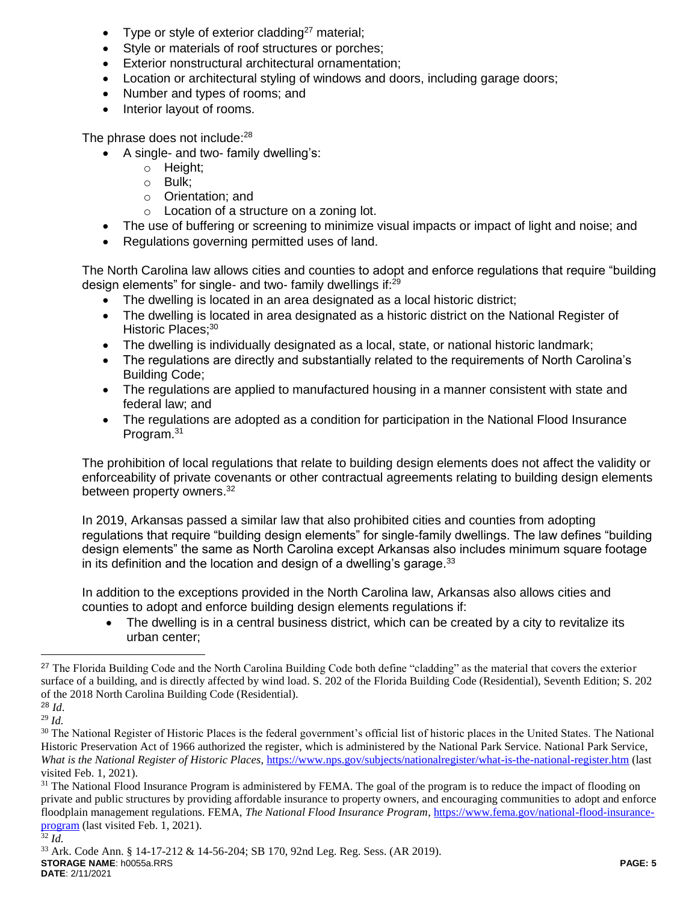- Type or style of exterior cladding<sup>27</sup> material;
- Style or materials of roof structures or porches;
- Exterior nonstructural architectural ornamentation;
- Location or architectural styling of windows and doors, including garage doors;
- Number and types of rooms; and
- Interior layout of rooms.

The phrase does not include:<sup>28</sup>

- A single- and two- family dwelling's:
	- o Height;
	- o Bulk;
	- o Orientation; and
	- o Location of a structure on a zoning lot.
- The use of buffering or screening to minimize visual impacts or impact of light and noise; and
- Regulations governing permitted uses of land.

The North Carolina law allows cities and counties to adopt and enforce regulations that require "building design elements" for single- and two- family dwellings if:<sup>29</sup>

- The dwelling is located in an area designated as a local historic district;
- The dwelling is located in area designated as a historic district on the National Register of Historic Places;<sup>30</sup>
- The dwelling is individually designated as a local, state, or national historic landmark;
- The regulations are directly and substantially related to the requirements of North Carolina's Building Code;
- The regulations are applied to manufactured housing in a manner consistent with state and federal law; and
- The regulations are adopted as a condition for participation in the National Flood Insurance Program.<sup>31</sup>

The prohibition of local regulations that relate to building design elements does not affect the validity or enforceability of private covenants or other contractual agreements relating to building design elements between property owners.<sup>32</sup>

In 2019, Arkansas passed a similar law that also prohibited cities and counties from adopting regulations that require "building design elements" for single-family dwellings. The law defines "building design elements" the same as North Carolina except Arkansas also includes minimum square footage in its definition and the location and design of a dwelling's garage. $33$ 

In addition to the exceptions provided in the North Carolina law, Arkansas also allows cities and counties to adopt and enforce building design elements regulations if:

 The dwelling is in a central business district, which can be created by a city to revitalize its urban center;

 $\overline{a}$ 

<sup>&</sup>lt;sup>27</sup> The Florida Building Code and the North Carolina Building Code both define "cladding" as the material that covers the exterior surface of a building, and is directly affected by wind load. S. 202 of the Florida Building Code (Residential), Seventh Edition; S. 202 of the 2018 North Carolina Building Code (Residential).

<sup>28</sup> *Id*.

<sup>29</sup> *Id.*

<sup>&</sup>lt;sup>30</sup> The National Register of Historic Places is the federal government's official list of historic places in the United States. The National Historic Preservation Act of 1966 authorized the register, which is administered by the National Park Service. National Park Service, *What is the National Register of Historic Places*,<https://www.nps.gov/subjects/nationalregister/what-is-the-national-register.htm> (last visited Feb. 1, 2021).

<sup>&</sup>lt;sup>31</sup> The National Flood Insurance Program is administered by FEMA. The goal of the program is to reduce the impact of flooding on private and public structures by providing affordable insurance to property owners, and encouraging communities to adopt and enforce floodplain management regulations. FEMA, *The National Flood Insurance Program*[, https://www.fema.gov/national-flood-insurance](https://www.fema.gov/national-flood-insurance-program)[program](https://www.fema.gov/national-flood-insurance-program) (last visited Feb. 1, 2021).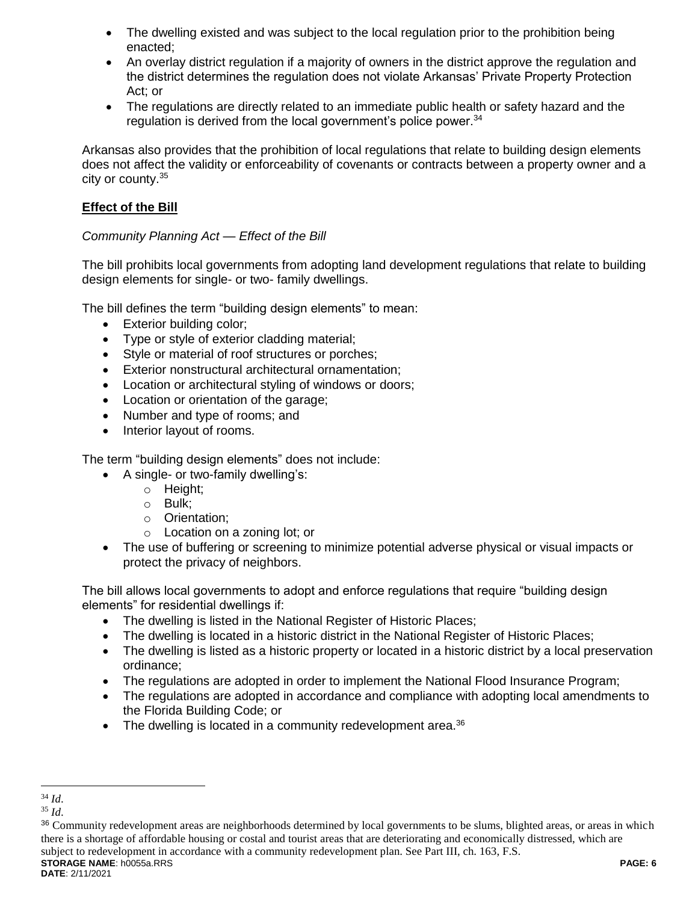- The dwelling existed and was subject to the local regulation prior to the prohibition being enacted;
- An overlay district regulation if a majority of owners in the district approve the regulation and the district determines the regulation does not violate Arkansas' Private Property Protection Act; or
- The regulations are directly related to an immediate public health or safety hazard and the regulation is derived from the local government's police power.<sup>34</sup>

Arkansas also provides that the prohibition of local regulations that relate to building design elements does not affect the validity or enforceability of covenants or contracts between a property owner and a city or county.<sup>35</sup>

## **Effect of the Bill**

## *Community Planning Act — Effect of the Bill*

The bill prohibits local governments from adopting land development regulations that relate to building design elements for single- or two- family dwellings.

The bill defines the term "building design elements" to mean:

- Exterior building color;
- Type or style of exterior cladding material;
- Style or material of roof structures or porches;
- Exterior nonstructural architectural ornamentation;
- Location or architectural styling of windows or doors;
- Location or orientation of the garage;
- Number and type of rooms: and
- Interior layout of rooms.

The term "building design elements" does not include:

- A single- or two-family dwelling's:
	- o Height;
	- o Bulk;
	- o Orientation;
	- o Location on a zoning lot; or
- The use of buffering or screening to minimize potential adverse physical or visual impacts or protect the privacy of neighbors.

The bill allows local governments to adopt and enforce regulations that require "building design elements" for residential dwellings if:

- The dwelling is listed in the National Register of Historic Places;
- The dwelling is located in a historic district in the National Register of Historic Places;
- The dwelling is listed as a historic property or located in a historic district by a local preservation ordinance;
- The regulations are adopted in order to implement the National Flood Insurance Program;
- The regulations are adopted in accordance and compliance with adopting local amendments to the Florida Building Code; or
- The dwelling is located in a community redevelopment area. $36$

 $\overline{a}$ <sup>34</sup> *Id*.

<sup>35</sup> *Id*.

<sup>36</sup> Community redevelopment areas are neighborhoods determined by local governments to be slums, blighted areas, or areas in which there is a shortage of affordable housing or costal and tourist areas that are deteriorating and economically distressed, which are subject to redevelopment in accordance with a community redevelopment plan. See Part III, ch. 163, F.S.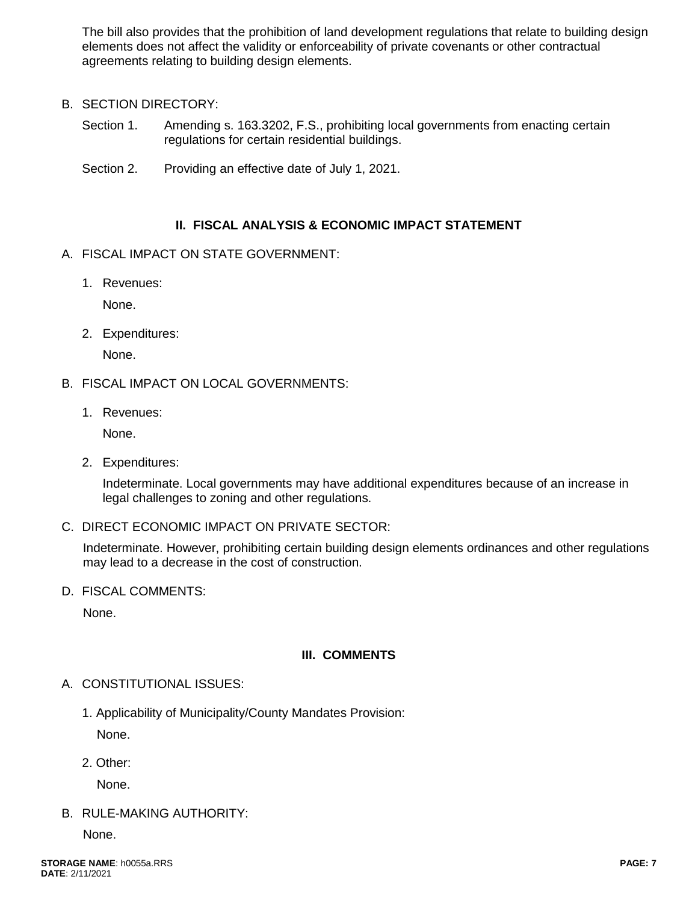The bill also provides that the prohibition of land development regulations that relate to building design elements does not affect the validity or enforceability of private covenants or other contractual agreements relating to building design elements.

- B. SECTION DIRECTORY:
	- Section 1. Amending s. 163.3202, F.S., prohibiting local governments from enacting certain regulations for certain residential buildings.
	- Section 2. Providing an effective date of July 1, 2021.

# **II. FISCAL ANALYSIS & ECONOMIC IMPACT STATEMENT**

- A. FISCAL IMPACT ON STATE GOVERNMENT:
	- 1. Revenues:

None.

2. Expenditures:

None.

- B. FISCAL IMPACT ON LOCAL GOVERNMENTS:
	- 1. Revenues:

None.

2. Expenditures:

Indeterminate. Local governments may have additional expenditures because of an increase in legal challenges to zoning and other regulations.

C. DIRECT ECONOMIC IMPACT ON PRIVATE SECTOR:

Indeterminate. However, prohibiting certain building design elements ordinances and other regulations may lead to a decrease in the cost of construction.

D. FISCAL COMMENTS:

None.

# **III. COMMENTS**

- A. CONSTITUTIONAL ISSUES:
	- 1. Applicability of Municipality/County Mandates Provision:

None.

2. Other:

None.

B. RULE-MAKING AUTHORITY:

None.